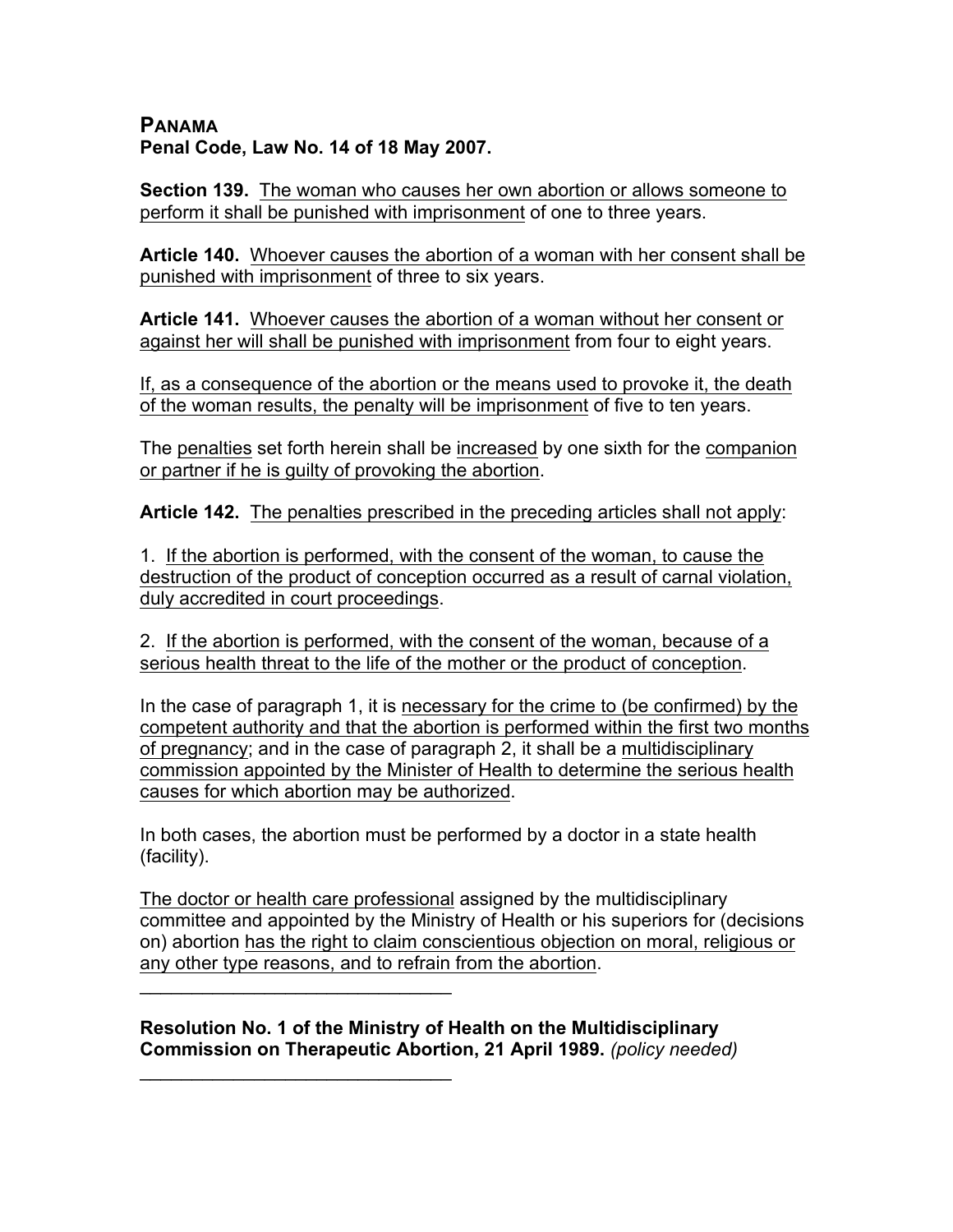## **PANAMA Penal Code, Law No. 14 of 18 May 2007.**

**Section 139.** The woman who causes her own abortion or allows someone to perform it shall be punished with imprisonment of one to three years.

**Article 140.** Whoever causes the abortion of a woman with her consent shall be punished with imprisonment of three to six years.

**Article 141.** Whoever causes the abortion of a woman without her consent or against her will shall be punished with imprisonment from four to eight years.

If, as a consequence of the abortion or the means used to provoke it, the death of the woman results, the penalty will be imprisonment of five to ten years.

The penalties set forth herein shall be increased by one sixth for the companion or partner if he is guilty of provoking the abortion.

**Article 142.** The penalties prescribed in the preceding articles shall not apply:

1. If the abortion is performed, with the consent of the woman, to cause the destruction of the product of conception occurred as a result of carnal violation, duly accredited in court proceedings.

2. If the abortion is performed, with the consent of the woman, because of a serious health threat to the life of the mother or the product of conception.

In the case of paragraph 1, it is necessary for the crime to (be confirmed) by the competent authority and that the abortion is performed within the first two months of pregnancy; and in the case of paragraph 2, it shall be a multidisciplinary commission appointed by the Minister of Health to determine the serious health causes for which abortion may be authorized.

In both cases, the abortion must be performed by a doctor in a state health (facility).

The doctor or health care professional assigned by the multidisciplinary committee and appointed by the Ministry of Health or his superiors for (decisions on) abortion has the right to claim conscientious objection on moral, religious or any other type reasons, and to refrain from the abortion.

 $\mathcal{L}=\{1,2,3,4,5\}$ **Resolution No. 1 of the Ministry of Health on the Multidisciplinary** 

 $\mathcal{L}=\{1,2,3,4,5\}$ 

**Commission on Therapeutic Abortion, 21 April 1989.** *(policy needed)*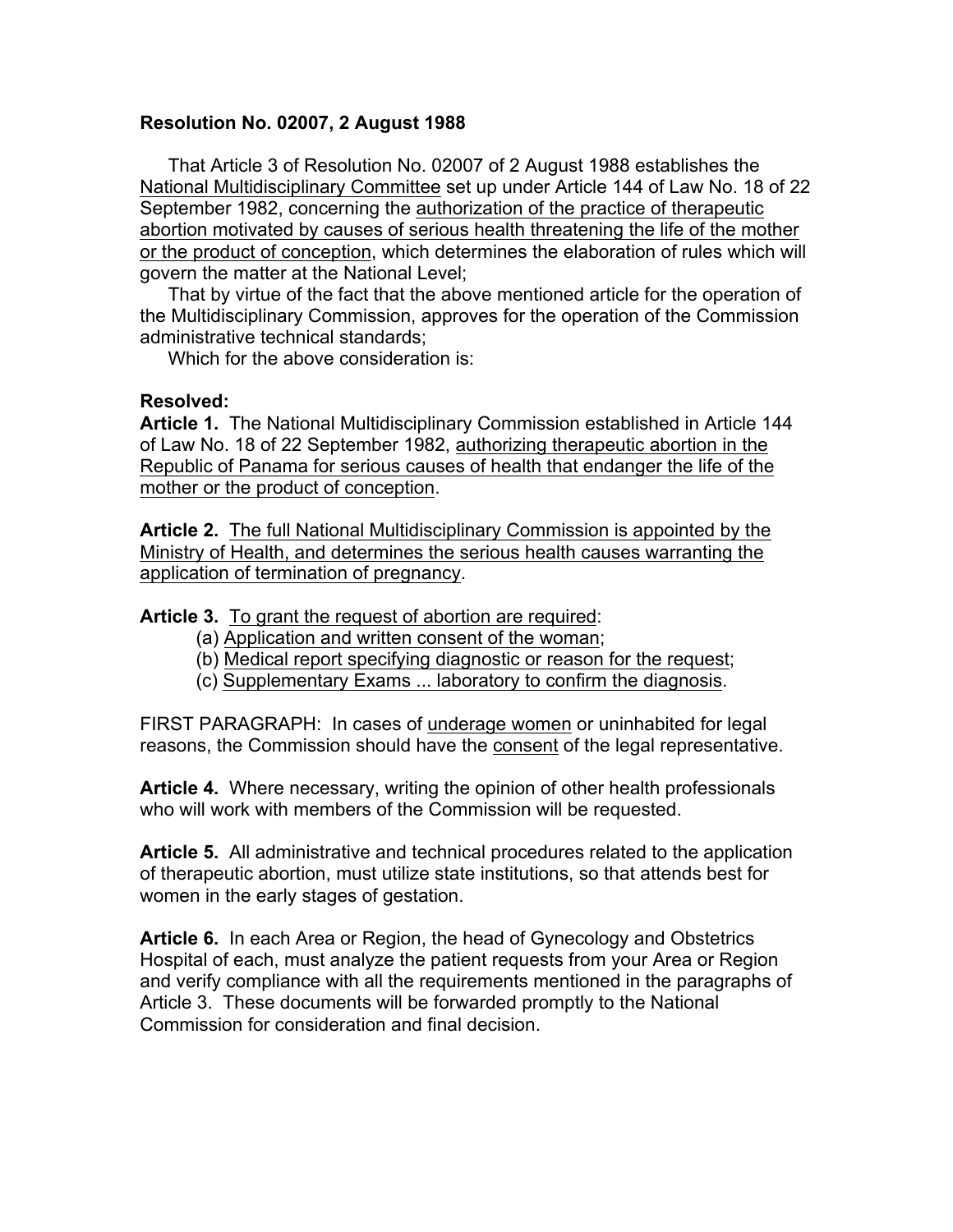## **Resolution No. 02007, 2 August 1988**

That Article 3 of Resolution No. 02007 of 2 August 1988 establishes the National Multidisciplinary Committee set up under Article 144 of Law No. 18 of 22 September 1982, concerning the authorization of the practice of therapeutic abortion motivated by causes of serious health threatening the life of the mother or the product of conception, which determines the elaboration of rules which will govern the matter at the National Level;

That by virtue of the fact that the above mentioned article for the operation of the Multidisciplinary Commission, approves for the operation of the Commission administrative technical standards;

Which for the above consideration is:

## **Resolved:**

**Article 1.** The National Multidisciplinary Commission established in Article 144 of Law No. 18 of 22 September 1982, authorizing therapeutic abortion in the Republic of Panama for serious causes of health that endanger the life of the mother or the product of conception.

**Article 2.** The full National Multidisciplinary Commission is appointed by the Ministry of Health, and determines the serious health causes warranting the application of termination of pregnancy.

**Article 3.** To grant the request of abortion are required:

- (a) Application and written consent of the woman;
- (b) Medical report specifying diagnostic or reason for the request;
- (c) Supplementary Exams ... laboratory to confirm the diagnosis.

FIRST PARAGRAPH: In cases of underage women or uninhabited for legal reasons, the Commission should have the consent of the legal representative.

**Article 4.** Where necessary, writing the opinion of other health professionals who will work with members of the Commission will be requested.

**Article 5.** All administrative and technical procedures related to the application of therapeutic abortion, must utilize state institutions, so that attends best for women in the early stages of gestation.

**Article 6.** In each Area or Region, the head of Gynecology and Obstetrics Hospital of each, must analyze the patient requests from your Area or Region and verify compliance with all the requirements mentioned in the paragraphs of Article 3. These documents will be forwarded promptly to the National Commission for consideration and final decision.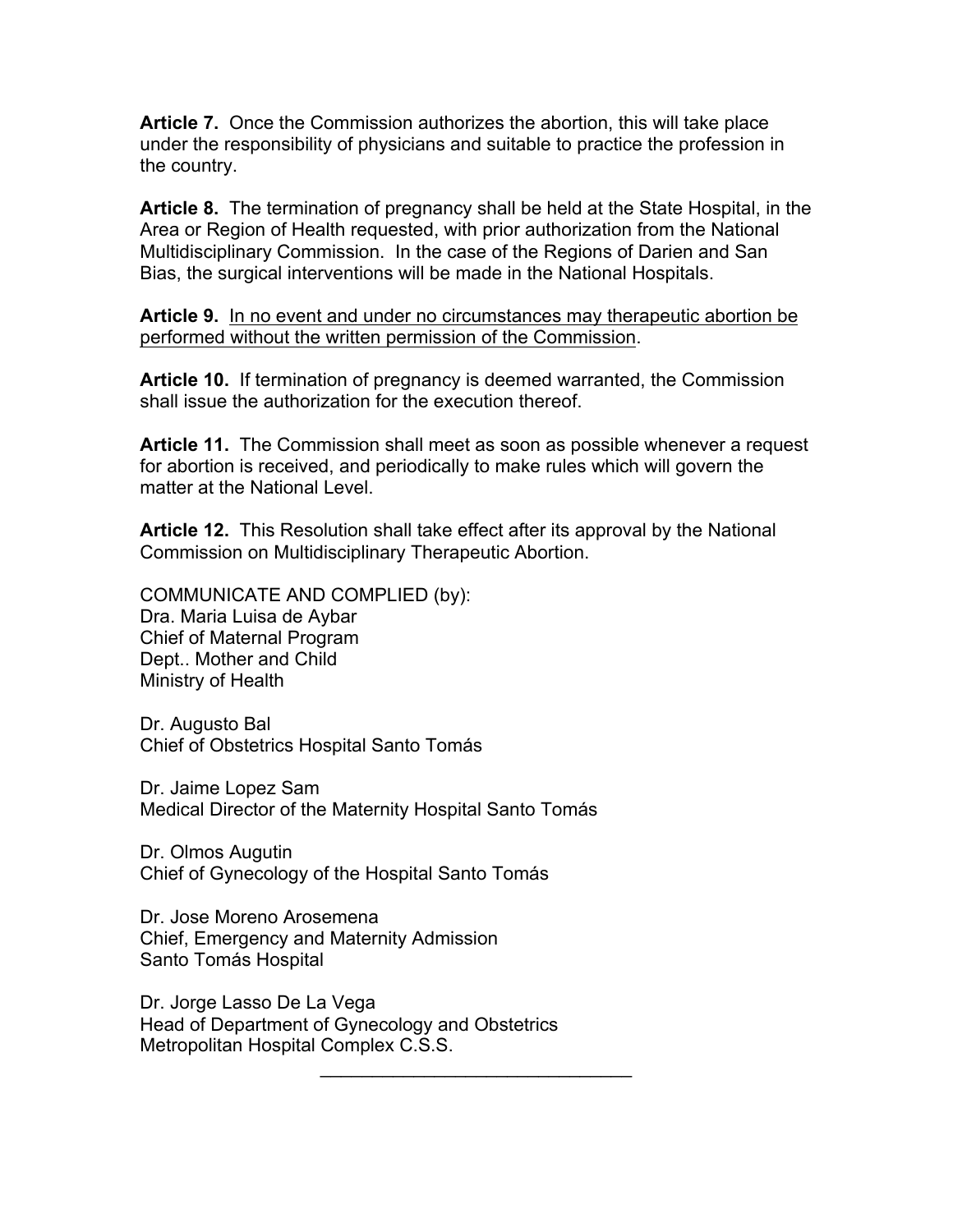**Article 7.** Once the Commission authorizes the abortion, this will take place under the responsibility of physicians and suitable to practice the profession in the country.

**Article 8.** The termination of pregnancy shall be held at the State Hospital, in the Area or Region of Health requested, with prior authorization from the National Multidisciplinary Commission. In the case of the Regions of Darien and San Bias, the surgical interventions will be made in the National Hospitals.

**Article 9.** In no event and under no circumstances may therapeutic abortion be performed without the written permission of the Commission.

**Article 10.** If termination of pregnancy is deemed warranted, the Commission shall issue the authorization for the execution thereof.

**Article 11.** The Commission shall meet as soon as possible whenever a request for abortion is received, and periodically to make rules which will govern the matter at the National Level.

 $\mathcal{L}_\text{max}$  and  $\mathcal{L}_\text{max}$  and  $\mathcal{L}_\text{max}$ 

**Article 12.** This Resolution shall take effect after its approval by the National Commission on Multidisciplinary Therapeutic Abortion.

COMMUNICATE AND COMPLIED (by): Dra. Maria Luisa de Aybar Chief of Maternal Program Dept.. Mother and Child Ministry of Health

Dr. Augusto Bal Chief of Obstetrics Hospital Santo Tomás

Dr. Jaime Lopez Sam Medical Director of the Maternity Hospital Santo Tomás

Dr. Olmos Augutin Chief of Gynecology of the Hospital Santo Tomás

Dr. Jose Moreno Arosemena Chief, Emergency and Maternity Admission Santo Tomás Hospital

Dr. Jorge Lasso De La Vega Head of Department of Gynecology and Obstetrics Metropolitan Hospital Complex C.S.S.